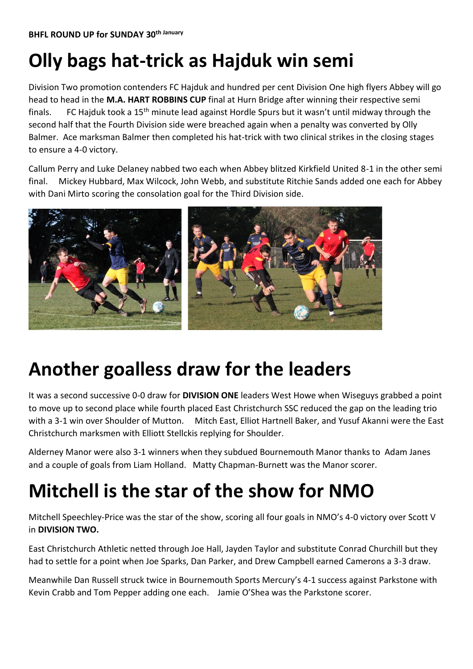# **Olly bags hat-trick as Hajduk win semi**

Division Two promotion contenders FC Hajduk and hundred per cent Division One high flyers Abbey will go head to head in the **M.A. HART ROBBINS CUP** final at Hurn Bridge after winning their respective semi finals. FC Hajduk took a 15<sup>th</sup> minute lead against Hordle Spurs but it wasn't until midway through the second half that the Fourth Division side were breached again when a penalty was converted by Olly Balmer. Ace marksman Balmer then completed his hat-trick with two clinical strikes in the closing stages to ensure a 4-0 victory.

Callum Perry and Luke Delaney nabbed two each when Abbey blitzed Kirkfield United 8-1 in the other semi final. Mickey Hubbard, Max Wilcock, John Webb, and substitute Ritchie Sands added one each for Abbey with Dani Mirto scoring the consolation goal for the Third Division side.



#### **Another goalless draw for the leaders**

It was a second successive 0-0 draw for **DIVISION ONE** leaders West Howe when Wiseguys grabbed a point to move up to second place while fourth placed East Christchurch SSC reduced the gap on the leading trio with a 3-1 win over Shoulder of Mutton. Mitch East, Elliot Hartnell Baker, and Yusuf Akanni were the East Christchurch marksmen with Elliott Stellckis replying for Shoulder.

Alderney Manor were also 3-1 winners when they subdued Bournemouth Manor thanks to Adam Janes and a couple of goals from Liam Holland. Matty Chapman-Burnett was the Manor scorer.

### **Mitchell is the star of the show for NMO**

Mitchell Speechley-Price was the star of the show, scoring all four goals in NMO's 4-0 victory over Scott V in **DIVISION TWO.**

East Christchurch Athletic netted through Joe Hall, Jayden Taylor and substitute Conrad Churchill but they had to settle for a point when Joe Sparks, Dan Parker, and Drew Campbell earned Camerons a 3-3 draw.

Meanwhile Dan Russell struck twice in Bournemouth Sports Mercury's 4-1 success against Parkstone with Kevin Crabb and Tom Pepper adding one each. Jamie O'Shea was the Parkstone scorer.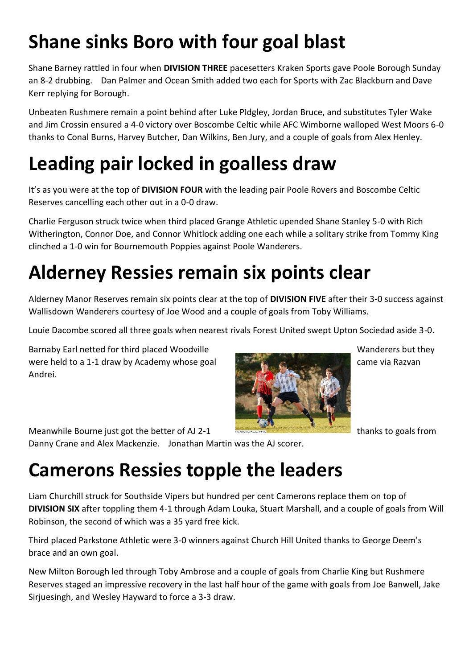# **Shane sinks Boro with four goal blast**

Shane Barney rattled in four when **DIVISION THREE** pacesetters Kraken Sports gave Poole Borough Sunday an 8-2 drubbing. Dan Palmer and Ocean Smith added two each for Sports with Zac Blackburn and Dave Kerr replying for Borough.

Unbeaten Rushmere remain a point behind after Luke PIdgley, Jordan Bruce, and substitutes Tyler Wake and Jim Crossin ensured a 4-0 victory over Boscombe Celtic while AFC Wimborne walloped West Moors 6-0 thanks to Conal Burns, Harvey Butcher, Dan Wilkins, Ben Jury, and a couple of goals from Alex Henley.

# **Leading pair locked in goalless draw**

It's as you were at the top of **DIVISION FOUR** with the leading pair Poole Rovers and Boscombe Celtic Reserves cancelling each other out in a 0-0 draw.

Charlie Ferguson struck twice when third placed Grange Athletic upended Shane Stanley 5-0 with Rich Witherington, Connor Doe, and Connor Whitlock adding one each while a solitary strike from Tommy King clinched a 1-0 win for Bournemouth Poppies against Poole Wanderers.

#### **Alderney Ressies remain six points clear**

Alderney Manor Reserves remain six points clear at the top of **DIVISION FIVE** after their 3-0 success against Wallisdown Wanderers courtesy of Joe Wood and a couple of goals from Toby Williams.

Louie Dacombe scored all three goals when nearest rivals Forest United swept Upton Sociedad aside 3-0.

Barnaby Earl netted for third placed Woodville Manual Manual Muslem Manderers but they were held to a 1-1 draw by Academy whose goal came via Razvan Andrei.



#### Meanwhile Bourne just got the better of AJ 2-1  $\blacksquare$ Danny Crane and Alex Mackenzie. Jonathan Martin was the AJ scorer.

### **Camerons Ressies topple the leaders**

Liam Churchill struck for Southside Vipers but hundred per cent Camerons replace them on top of **DIVISION SIX** after toppling them 4-1 through Adam Louka, Stuart Marshall, and a couple of goals from Will Robinson, the second of which was a 35 yard free kick.

Third placed Parkstone Athletic were 3-0 winners against Church Hill United thanks to George Deem's brace and an own goal.

New Milton Borough led through Toby Ambrose and a couple of goals from Charlie King but Rushmere Reserves staged an impressive recovery in the last half hour of the game with goals from Joe Banwell, Jake Sirjuesingh, and Wesley Hayward to force a 3-3 draw.